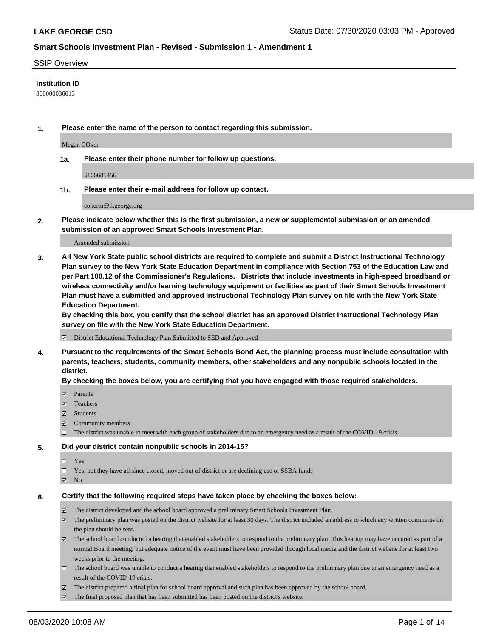### SSIP Overview

### **Institution ID**

800000036013

**1. Please enter the name of the person to contact regarding this submission.**

Megan COker

**1a. Please enter their phone number for follow up questions.**

5166685456

**1b. Please enter their e-mail address for follow up contact.**

cokerm@lkgeorge.org

**2. Please indicate below whether this is the first submission, a new or supplemental submission or an amended submission of an approved Smart Schools Investment Plan.**

#### Amended submission

**3. All New York State public school districts are required to complete and submit a District Instructional Technology Plan survey to the New York State Education Department in compliance with Section 753 of the Education Law and per Part 100.12 of the Commissioner's Regulations. Districts that include investments in high-speed broadband or wireless connectivity and/or learning technology equipment or facilities as part of their Smart Schools Investment Plan must have a submitted and approved Instructional Technology Plan survey on file with the New York State Education Department.** 

**By checking this box, you certify that the school district has an approved District Instructional Technology Plan survey on file with the New York State Education Department.**

District Educational Technology Plan Submitted to SED and Approved

**4. Pursuant to the requirements of the Smart Schools Bond Act, the planning process must include consultation with parents, teachers, students, community members, other stakeholders and any nonpublic schools located in the district.** 

#### **By checking the boxes below, you are certifying that you have engaged with those required stakeholders.**

- **Ø** Parents
- Teachers
- Students
- $\boxtimes$  Community members
- The district was unable to meet with each group of stakeholders due to an emergency need as a result of the COVID-19 crisis.

### **5. Did your district contain nonpublic schools in 2014-15?**

- $\neg$  Yes
- Yes, but they have all since closed, moved out of district or are declining use of SSBA funds
- **Z** No

#### **6. Certify that the following required steps have taken place by checking the boxes below:**

- The district developed and the school board approved a preliminary Smart Schools Investment Plan.
- $\boxtimes$  The preliminary plan was posted on the district website for at least 30 days. The district included an address to which any written comments on the plan should be sent.
- $\boxtimes$  The school board conducted a hearing that enabled stakeholders to respond to the preliminary plan. This hearing may have occured as part of a normal Board meeting, but adequate notice of the event must have been provided through local media and the district website for at least two weeks prior to the meeting.
- The school board was unable to conduct a hearing that enabled stakeholders to respond to the preliminary plan due to an emergency need as a result of the COVID-19 crisis.
- The district prepared a final plan for school board approval and such plan has been approved by the school board.
- $\boxtimes$  The final proposed plan that has been submitted has been posted on the district's website.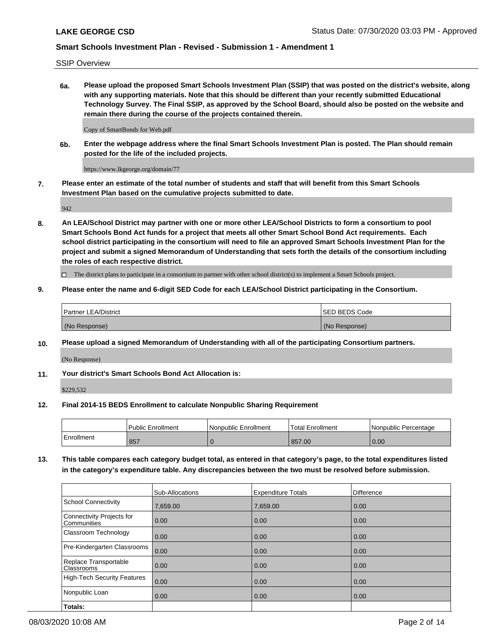SSIP Overview

**6a. Please upload the proposed Smart Schools Investment Plan (SSIP) that was posted on the district's website, along with any supporting materials. Note that this should be different than your recently submitted Educational Technology Survey. The Final SSIP, as approved by the School Board, should also be posted on the website and remain there during the course of the projects contained therein.**

Copy of SmartBonds for Web.pdf

**6b. Enter the webpage address where the final Smart Schools Investment Plan is posted. The Plan should remain posted for the life of the included projects.**

https://www.lkgeorge.org/domain/77

**7. Please enter an estimate of the total number of students and staff that will benefit from this Smart Schools Investment Plan based on the cumulative projects submitted to date.**

942

**8. An LEA/School District may partner with one or more other LEA/School Districts to form a consortium to pool Smart Schools Bond Act funds for a project that meets all other Smart School Bond Act requirements. Each school district participating in the consortium will need to file an approved Smart Schools Investment Plan for the project and submit a signed Memorandum of Understanding that sets forth the details of the consortium including the roles of each respective district.**

 $\Box$  The district plans to participate in a consortium to partner with other school district(s) to implement a Smart Schools project.

## **9. Please enter the name and 6-digit SED Code for each LEA/School District participating in the Consortium.**

| Partner LEA/District | <b>ISED BEDS Code</b> |
|----------------------|-----------------------|
| (No Response)        | (No Response)         |

## **10. Please upload a signed Memorandum of Understanding with all of the participating Consortium partners.**

(No Response)

**11. Your district's Smart Schools Bond Act Allocation is:**

\$229,532

#### **12. Final 2014-15 BEDS Enrollment to calculate Nonpublic Sharing Requirement**

|            | <b>Public Enrollment</b> | Nonpublic Enrollment | <b>Total Enrollment</b> | l Nonpublic Percentage |
|------------|--------------------------|----------------------|-------------------------|------------------------|
| Enrollment | 857                      |                      | 857.00                  | 0.00                   |

**13. This table compares each category budget total, as entered in that category's page, to the total expenditures listed in the category's expenditure table. Any discrepancies between the two must be resolved before submission.**

|                                                 | Sub-Allocations | <b>Expenditure Totals</b> | Difference |
|-------------------------------------------------|-----------------|---------------------------|------------|
| <b>School Connectivity</b>                      | 7,659.00        | 7,659.00                  | 0.00       |
| <b>Connectivity Projects for</b><br>Communities | 0.00            | 0.00                      | 0.00       |
| Classroom Technology                            | 0.00            | 0.00                      | 0.00       |
| Pre-Kindergarten Classrooms                     | 0.00            | 0.00                      | 0.00       |
| Replace Transportable<br>Classrooms             | 0.00            | 0.00                      | 0.00       |
| <b>High-Tech Security Features</b>              | 0.00            | 0.00                      | 0.00       |
| Nonpublic Loan                                  | 0.00            | 0.00                      | 0.00       |
| Totals:                                         |                 |                           |            |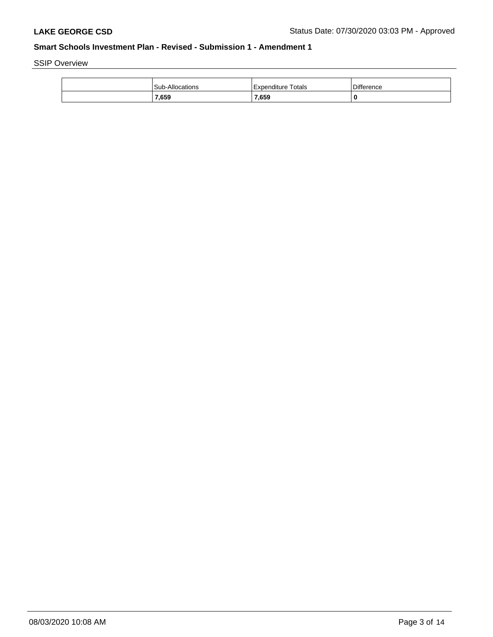SSIP Overview

| <b>Sub-Allocations</b> | Expenditure Totals | <b>Difference</b> |
|------------------------|--------------------|-------------------|
| 7,659                  | 7,659              | 0                 |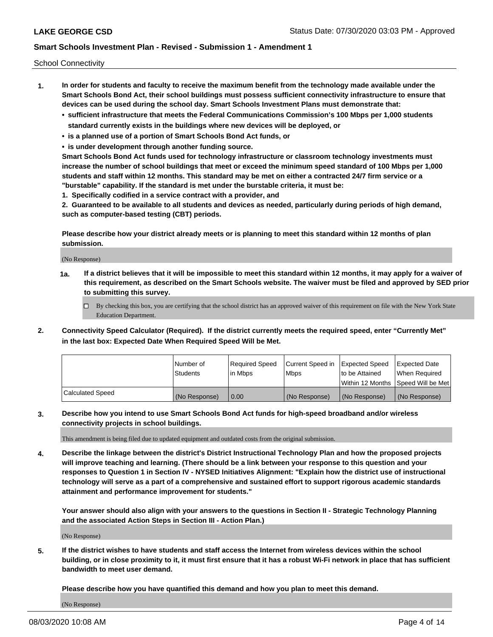School Connectivity

- **1. In order for students and faculty to receive the maximum benefit from the technology made available under the Smart Schools Bond Act, their school buildings must possess sufficient connectivity infrastructure to ensure that devices can be used during the school day. Smart Schools Investment Plans must demonstrate that:**
	- **• sufficient infrastructure that meets the Federal Communications Commission's 100 Mbps per 1,000 students standard currently exists in the buildings where new devices will be deployed, or**
	- **• is a planned use of a portion of Smart Schools Bond Act funds, or**
	- **• is under development through another funding source.**

**Smart Schools Bond Act funds used for technology infrastructure or classroom technology investments must increase the number of school buildings that meet or exceed the minimum speed standard of 100 Mbps per 1,000 students and staff within 12 months. This standard may be met on either a contracted 24/7 firm service or a "burstable" capability. If the standard is met under the burstable criteria, it must be:**

**1. Specifically codified in a service contract with a provider, and**

**2. Guaranteed to be available to all students and devices as needed, particularly during periods of high demand, such as computer-based testing (CBT) periods.**

**Please describe how your district already meets or is planning to meet this standard within 12 months of plan submission.**

(No Response)

**1a. If a district believes that it will be impossible to meet this standard within 12 months, it may apply for a waiver of this requirement, as described on the Smart Schools website. The waiver must be filed and approved by SED prior to submitting this survey.**

 $\Box$  By checking this box, you are certifying that the school district has an approved waiver of this requirement on file with the New York State Education Department.

**2. Connectivity Speed Calculator (Required). If the district currently meets the required speed, enter "Currently Met" in the last box: Expected Date When Required Speed Will be Met.**

|                  | l Number of     | Reauired Speed | Current Speed in | <b>Expected Speed</b> | Expected Date                        |
|------------------|-----------------|----------------|------------------|-----------------------|--------------------------------------|
|                  | <b>Students</b> | l in Mbps      | l Mbps           | to be Attained        | When Required                        |
|                  |                 |                |                  |                       | Within 12 Months   Speed Will be Met |
| Calculated Speed | (No Response)   | 0.00           | (No Response)    | (No Response)         | (No Response)                        |

**3. Describe how you intend to use Smart Schools Bond Act funds for high-speed broadband and/or wireless connectivity projects in school buildings.**

This amendment is being filed due to updated equipment and outdated costs from the original submission.

**4. Describe the linkage between the district's District Instructional Technology Plan and how the proposed projects will improve teaching and learning. (There should be a link between your response to this question and your responses to Question 1 in Section IV - NYSED Initiatives Alignment: "Explain how the district use of instructional technology will serve as a part of a comprehensive and sustained effort to support rigorous academic standards attainment and performance improvement for students."** 

**Your answer should also align with your answers to the questions in Section II - Strategic Technology Planning and the associated Action Steps in Section III - Action Plan.)**

(No Response)

**5. If the district wishes to have students and staff access the Internet from wireless devices within the school building, or in close proximity to it, it must first ensure that it has a robust Wi-Fi network in place that has sufficient bandwidth to meet user demand.**

**Please describe how you have quantified this demand and how you plan to meet this demand.**

(No Response)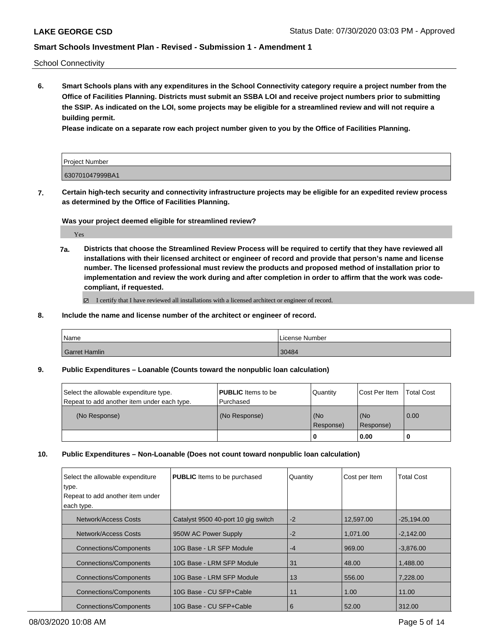School Connectivity

**6. Smart Schools plans with any expenditures in the School Connectivity category require a project number from the Office of Facilities Planning. Districts must submit an SSBA LOI and receive project numbers prior to submitting the SSIP. As indicated on the LOI, some projects may be eligible for a streamlined review and will not require a building permit.**

**Please indicate on a separate row each project number given to you by the Office of Facilities Planning.**

| Project Number  |  |
|-----------------|--|
| 630701047999BA1 |  |

**7. Certain high-tech security and connectivity infrastructure projects may be eligible for an expedited review process as determined by the Office of Facilities Planning.**

**Was your project deemed eligible for streamlined review?**

Yes

**7a. Districts that choose the Streamlined Review Process will be required to certify that they have reviewed all installations with their licensed architect or engineer of record and provide that person's name and license number. The licensed professional must review the products and proposed method of installation prior to implementation and review the work during and after completion in order to affirm that the work was codecompliant, if requested.**

■ I certify that I have reviewed all installations with a licensed architect or engineer of record.

**8. Include the name and license number of the architect or engineer of record.**

| Name          | License Number |
|---------------|----------------|
| Garret Hamlin | 30484          |

**9. Public Expenditures – Loanable (Counts toward the nonpublic loan calculation)**

| Select the allowable expenditure type.      | <b>PUBLIC</b> Items to be | Quantity             | Cost Per Item    | <b>Total Cost</b> |
|---------------------------------------------|---------------------------|----------------------|------------------|-------------------|
| Repeat to add another item under each type. | Purchased                 |                      |                  |                   |
| (No Response)                               | (No Response)             | l (No<br>l Response) | (No<br>Response) | $\overline{0.00}$ |
|                                             |                           |                      | 0.00             |                   |

**10. Public Expenditures – Non-Loanable (Does not count toward nonpublic loan calculation)**

| Select the allowable expenditure<br>type. | <b>PUBLIC</b> Items to be purchased | Quantity | Cost per Item | <b>Total Cost</b> |
|-------------------------------------------|-------------------------------------|----------|---------------|-------------------|
| Repeat to add another item under          |                                     |          |               |                   |
| each type.                                |                                     |          |               |                   |
| Network/Access Costs                      | Catalyst 9500 40-port 10 gig switch | $-2$     | 12.597.00     | $-25.194.00$      |
| Network/Access Costs                      | 950W AC Power Supply                | -2       | 1.071.00      | $-2.142.00$       |
| <b>Connections/Components</b>             | 10G Base - LR SFP Module            | $-4$     | 969.00        | $-3.876.00$       |
| <b>Connections/Components</b>             | 10G Base - LRM SFP Module           | 31       | 48.00         | 1.488.00          |
| <b>Connections/Components</b>             | 10G Base - LRM SFP Module           | 13       | 556.00        | 7.228.00          |
| Connections/Components                    | 10G Base - CU SFP+Cable             | 11       | 1.00          | 11.00             |
| <b>Connections/Components</b>             | 10G Base - CU SFP+Cable             | 6        | 52.00         | 312.00            |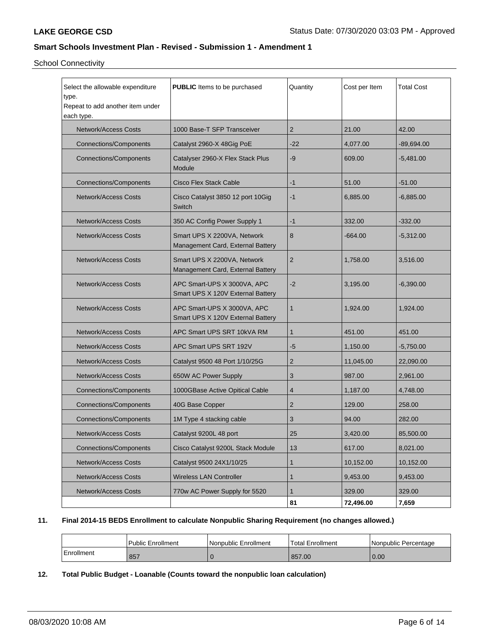School Connectivity

| Select the allowable expenditure<br>type.<br>Repeat to add another item under<br>each type. | PUBLIC Items to be purchased                                     | Quantity       | Cost per Item | <b>Total Cost</b> |
|---------------------------------------------------------------------------------------------|------------------------------------------------------------------|----------------|---------------|-------------------|
| <b>Network/Access Costs</b>                                                                 | 1000 Base-T SFP Transceiver                                      | 2              | 21.00         | 42.00             |
| <b>Connections/Components</b>                                                               | Catalyst 2960-X 48Gig PoE                                        | $-22$          | 4,077.00      | -89,694.00        |
| <b>Connections/Components</b>                                                               | Catalyser 2960-X Flex Stack Plus<br>Module                       | -9             | 609.00        | $-5,481.00$       |
| <b>Connections/Components</b>                                                               | <b>Cisco Flex Stack Cable</b>                                    | $-1$           | 51.00         | $-51.00$          |
| <b>Network/Access Costs</b>                                                                 | Cisco Catalyst 3850 12 port 10Gig<br>Switch                      | $-1$           | 6,885.00      | -6,885.00         |
| <b>Network/Access Costs</b>                                                                 | 350 AC Config Power Supply 1                                     | -1             | 332.00        | $-332.00$         |
| <b>Network/Access Costs</b>                                                                 | Smart UPS X 2200VA, Network<br>Management Card, External Battery | 8              | -664.00       | $-5,312.00$       |
| <b>Network/Access Costs</b>                                                                 | Smart UPS X 2200VA, Network<br>Management Card, External Battery | $\overline{2}$ | 1,758.00      | 3,516.00          |
| <b>Network/Access Costs</b>                                                                 | APC Smart-UPS X 3000VA, APC<br>Smart UPS X 120V External Battery | $-2$           | 3,195.00      | $-6,390.00$       |
| <b>Network/Access Costs</b>                                                                 | APC Smart-UPS X 3000VA, APC<br>Smart UPS X 120V External Battery | 1              | 1,924.00      | 1,924.00          |
| <b>Network/Access Costs</b>                                                                 | APC Smart UPS SRT 10kVA RM                                       | 1              | 451.00        | 451.00            |
| <b>Network/Access Costs</b>                                                                 | APC Smart UPS SRT 192V                                           | -5             | 1,150.00      | $-5,750.00$       |
| <b>Network/Access Costs</b>                                                                 | Catalyst 9500 48 Port 1/10/25G                                   | 2              | 11,045.00     | 22,090.00         |
| <b>Network/Access Costs</b>                                                                 | 650W AC Power Supply                                             | 3              | 987.00        | 2,961.00          |
| <b>Connections/Components</b>                                                               | 1000GBase Active Opitical Cable                                  | 4              | 1,187.00      | 4,748.00          |
| <b>Connections/Components</b>                                                               | 40G Base Copper                                                  | 2              | 129.00        | 258.00            |
| <b>Connections/Components</b>                                                               | 1M Type 4 stacking cable                                         | 3              | 94.00         | 282.00            |
| <b>Network/Access Costs</b>                                                                 | Catalyst 9200L 48 port                                           | 25             | 3,420.00      | 85,500.00         |
| <b>Connections/Components</b>                                                               | Cisco Catalyst 9200L Stack Module                                | 13             | 617.00        | 8,021.00          |
| Network/Access Costs                                                                        | Catalyst 9500 24X1/10/25                                         | 1              | 10,152.00     | 10,152.00         |
| Network/Access Costs                                                                        | <b>Wireless LAN Controller</b>                                   | 1              | 9,453.00      | 9,453.00          |
| Network/Access Costs                                                                        | 770w AC Power Supply for 5520                                    | 1              | 329.00        | 329.00            |
|                                                                                             |                                                                  | 81             | 72,496.00     | 7,659             |

## **11. Final 2014-15 BEDS Enrollment to calculate Nonpublic Sharing Requirement (no changes allowed.)**

|            | Public Enrollment | Nonpublic Enrollment | Total Enrollment | l Nonpublic Percentage |
|------------|-------------------|----------------------|------------------|------------------------|
| Enrollment | 857               |                      | 857.00           | 0.00                   |

# **12. Total Public Budget - Loanable (Counts toward the nonpublic loan calculation)**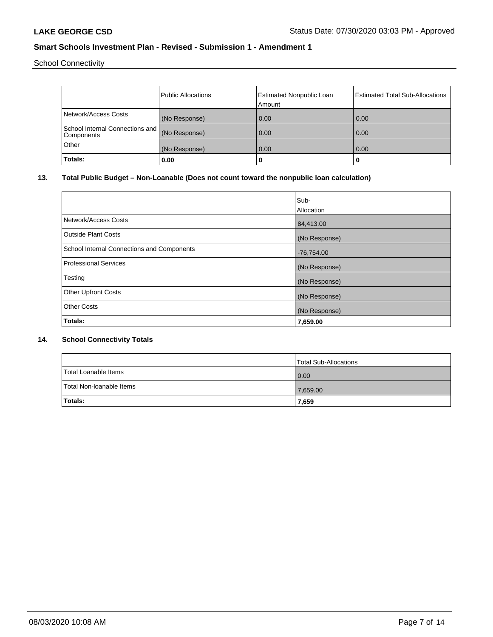School Connectivity

|                                                  | <b>Public Allocations</b> | <b>Estimated Nonpublic Loan</b> | <b>Estimated Total Sub-Allocations</b> |
|--------------------------------------------------|---------------------------|---------------------------------|----------------------------------------|
|                                                  |                           | Amount                          |                                        |
| Network/Access Costs                             | (No Response)             | 0.00                            | 0.00                                   |
| School Internal Connections and   <br>Components | (No Response)             | 0.00                            | 0.00                                   |
| Other                                            | (No Response)             | 0.00                            | 0.00                                   |
| Totals:                                          | 0.00                      | 0                               | u                                      |

# **13. Total Public Budget – Non-Loanable (Does not count toward the nonpublic loan calculation)**

|                                            | Sub-<br>Allocation |
|--------------------------------------------|--------------------|
| Network/Access Costs                       | 84,413.00          |
| Outside Plant Costs                        | (No Response)      |
| School Internal Connections and Components | $-76,754.00$       |
| Professional Services                      | (No Response)      |
| Testing                                    | (No Response)      |
| <b>Other Upfront Costs</b>                 | (No Response)      |
| <b>Other Costs</b>                         | (No Response)      |
| Totals:                                    | 7,659.00           |

## **14. School Connectivity Totals**

|                          | Total Sub-Allocations |
|--------------------------|-----------------------|
| Total Loanable Items     | 0.00                  |
| Total Non-Ioanable Items | 7,659.00              |
| <b>Totals:</b>           | 7,659                 |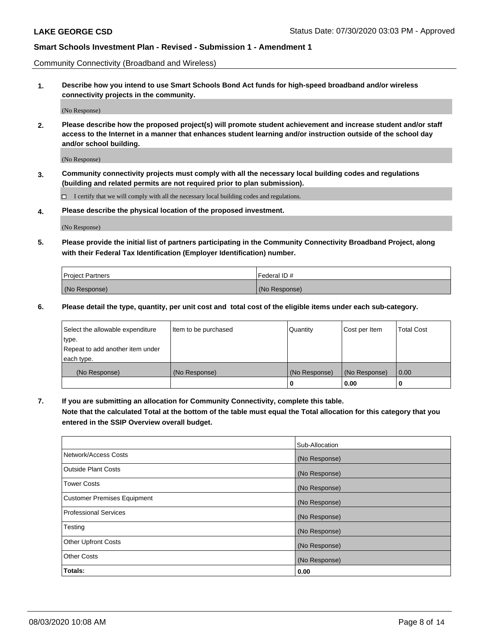Community Connectivity (Broadband and Wireless)

**1. Describe how you intend to use Smart Schools Bond Act funds for high-speed broadband and/or wireless connectivity projects in the community.**

(No Response)

**2. Please describe how the proposed project(s) will promote student achievement and increase student and/or staff access to the Internet in a manner that enhances student learning and/or instruction outside of the school day and/or school building.**

(No Response)

**3. Community connectivity projects must comply with all the necessary local building codes and regulations (building and related permits are not required prior to plan submission).**

 $\Box$  I certify that we will comply with all the necessary local building codes and regulations.

**4. Please describe the physical location of the proposed investment.**

(No Response)

**5. Please provide the initial list of partners participating in the Community Connectivity Broadband Project, along with their Federal Tax Identification (Employer Identification) number.**

| <b>Project Partners</b> | l Federal ID # |
|-------------------------|----------------|
| (No Response)           | (No Response)  |

**6. Please detail the type, quantity, per unit cost and total cost of the eligible items under each sub-category.**

| Select the allowable expenditure | Item to be purchased | Quantity      | Cost per Item | <b>Total Cost</b> |
|----------------------------------|----------------------|---------------|---------------|-------------------|
| type.                            |                      |               |               |                   |
| Repeat to add another item under |                      |               |               |                   |
| each type.                       |                      |               |               |                   |
| (No Response)                    | (No Response)        | (No Response) | (No Response) | 0.00              |
|                                  |                      | o             | 0.00          |                   |

**7. If you are submitting an allocation for Community Connectivity, complete this table.**

**Note that the calculated Total at the bottom of the table must equal the Total allocation for this category that you entered in the SSIP Overview overall budget.**

|                                    | Sub-Allocation |
|------------------------------------|----------------|
| Network/Access Costs               | (No Response)  |
| Outside Plant Costs                | (No Response)  |
| <b>Tower Costs</b>                 | (No Response)  |
| <b>Customer Premises Equipment</b> | (No Response)  |
| <b>Professional Services</b>       | (No Response)  |
| Testing                            | (No Response)  |
| <b>Other Upfront Costs</b>         | (No Response)  |
| <b>Other Costs</b>                 | (No Response)  |
| Totals:                            | 0.00           |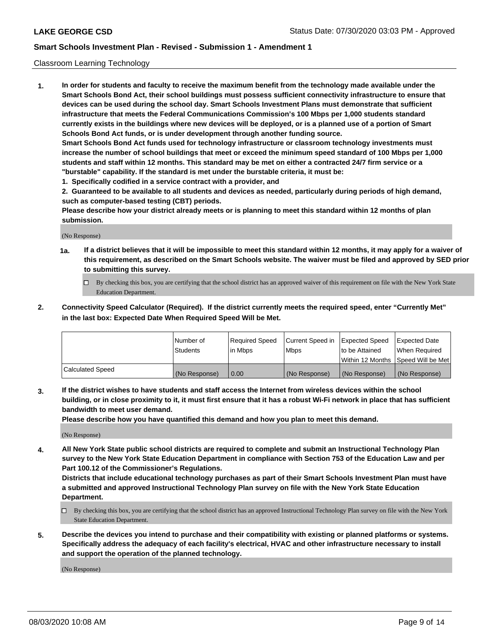### Classroom Learning Technology

**1. In order for students and faculty to receive the maximum benefit from the technology made available under the Smart Schools Bond Act, their school buildings must possess sufficient connectivity infrastructure to ensure that devices can be used during the school day. Smart Schools Investment Plans must demonstrate that sufficient infrastructure that meets the Federal Communications Commission's 100 Mbps per 1,000 students standard currently exists in the buildings where new devices will be deployed, or is a planned use of a portion of Smart Schools Bond Act funds, or is under development through another funding source. Smart Schools Bond Act funds used for technology infrastructure or classroom technology investments must increase the number of school buildings that meet or exceed the minimum speed standard of 100 Mbps per 1,000 students and staff within 12 months. This standard may be met on either a contracted 24/7 firm service or a "burstable" capability. If the standard is met under the burstable criteria, it must be:**

**1. Specifically codified in a service contract with a provider, and**

**2. Guaranteed to be available to all students and devices as needed, particularly during periods of high demand, such as computer-based testing (CBT) periods.**

**Please describe how your district already meets or is planning to meet this standard within 12 months of plan submission.**

(No Response)

- **1a. If a district believes that it will be impossible to meet this standard within 12 months, it may apply for a waiver of this requirement, as described on the Smart Schools website. The waiver must be filed and approved by SED prior to submitting this survey.**
	- By checking this box, you are certifying that the school district has an approved waiver of this requirement on file with the New York State Education Department.
- **2. Connectivity Speed Calculator (Required). If the district currently meets the required speed, enter "Currently Met" in the last box: Expected Date When Required Speed Will be Met.**

|                  | l Number of     | Required Speed | Current Speed in | <b>Expected Speed</b> | <b>Expected Date</b>                |
|------------------|-----------------|----------------|------------------|-----------------------|-------------------------------------|
|                  | <b>Students</b> | l in Mbps      | l Mbps           | to be Attained        | When Required                       |
|                  |                 |                |                  |                       | Within 12 Months  Speed Will be Met |
| Calculated Speed | (No Response)   | 0.00           | (No Response)    | l (No Response)       | (No Response)                       |

**3. If the district wishes to have students and staff access the Internet from wireless devices within the school building, or in close proximity to it, it must first ensure that it has a robust Wi-Fi network in place that has sufficient bandwidth to meet user demand.**

**Please describe how you have quantified this demand and how you plan to meet this demand.**

(No Response)

**4. All New York State public school districts are required to complete and submit an Instructional Technology Plan survey to the New York State Education Department in compliance with Section 753 of the Education Law and per Part 100.12 of the Commissioner's Regulations.**

**Districts that include educational technology purchases as part of their Smart Schools Investment Plan must have a submitted and approved Instructional Technology Plan survey on file with the New York State Education Department.**

- By checking this box, you are certifying that the school district has an approved Instructional Technology Plan survey on file with the New York State Education Department.
- **5. Describe the devices you intend to purchase and their compatibility with existing or planned platforms or systems. Specifically address the adequacy of each facility's electrical, HVAC and other infrastructure necessary to install and support the operation of the planned technology.**

(No Response)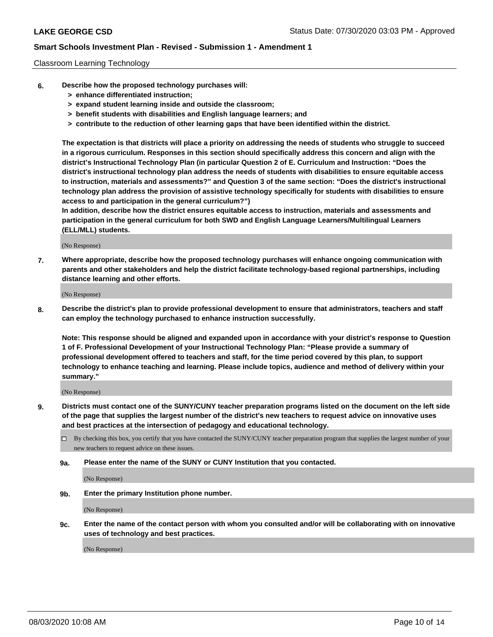### Classroom Learning Technology

- **6. Describe how the proposed technology purchases will:**
	- **> enhance differentiated instruction;**
	- **> expand student learning inside and outside the classroom;**
	- **> benefit students with disabilities and English language learners; and**
	- **> contribute to the reduction of other learning gaps that have been identified within the district.**

**The expectation is that districts will place a priority on addressing the needs of students who struggle to succeed in a rigorous curriculum. Responses in this section should specifically address this concern and align with the district's Instructional Technology Plan (in particular Question 2 of E. Curriculum and Instruction: "Does the district's instructional technology plan address the needs of students with disabilities to ensure equitable access to instruction, materials and assessments?" and Question 3 of the same section: "Does the district's instructional technology plan address the provision of assistive technology specifically for students with disabilities to ensure access to and participation in the general curriculum?")**

**In addition, describe how the district ensures equitable access to instruction, materials and assessments and participation in the general curriculum for both SWD and English Language Learners/Multilingual Learners (ELL/MLL) students.**

(No Response)

**7. Where appropriate, describe how the proposed technology purchases will enhance ongoing communication with parents and other stakeholders and help the district facilitate technology-based regional partnerships, including distance learning and other efforts.**

(No Response)

**8. Describe the district's plan to provide professional development to ensure that administrators, teachers and staff can employ the technology purchased to enhance instruction successfully.**

**Note: This response should be aligned and expanded upon in accordance with your district's response to Question 1 of F. Professional Development of your Instructional Technology Plan: "Please provide a summary of professional development offered to teachers and staff, for the time period covered by this plan, to support technology to enhance teaching and learning. Please include topics, audience and method of delivery within your summary."**

(No Response)

- **9. Districts must contact one of the SUNY/CUNY teacher preparation programs listed on the document on the left side of the page that supplies the largest number of the district's new teachers to request advice on innovative uses and best practices at the intersection of pedagogy and educational technology.**
	- By checking this box, you certify that you have contacted the SUNY/CUNY teacher preparation program that supplies the largest number of your new teachers to request advice on these issues.
	- **9a. Please enter the name of the SUNY or CUNY Institution that you contacted.**

(No Response)

**9b. Enter the primary Institution phone number.**

(No Response)

**9c. Enter the name of the contact person with whom you consulted and/or will be collaborating with on innovative uses of technology and best practices.**

(No Response)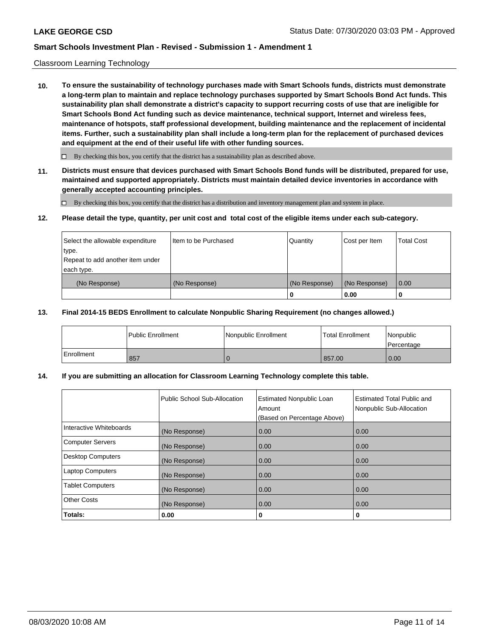## Classroom Learning Technology

**10. To ensure the sustainability of technology purchases made with Smart Schools funds, districts must demonstrate a long-term plan to maintain and replace technology purchases supported by Smart Schools Bond Act funds. This sustainability plan shall demonstrate a district's capacity to support recurring costs of use that are ineligible for Smart Schools Bond Act funding such as device maintenance, technical support, Internet and wireless fees, maintenance of hotspots, staff professional development, building maintenance and the replacement of incidental items. Further, such a sustainability plan shall include a long-term plan for the replacement of purchased devices and equipment at the end of their useful life with other funding sources.**

 $\Box$  By checking this box, you certify that the district has a sustainability plan as described above.

**11. Districts must ensure that devices purchased with Smart Schools Bond funds will be distributed, prepared for use, maintained and supported appropriately. Districts must maintain detailed device inventories in accordance with generally accepted accounting principles.**

By checking this box, you certify that the district has a distribution and inventory management plan and system in place.

### **12. Please detail the type, quantity, per unit cost and total cost of the eligible items under each sub-category.**

| Select the allowable expenditure<br>type.<br>Repeat to add another item under | Item to be Purchased | Quantity      | Cost per Item | <b>Total Cost</b> |
|-------------------------------------------------------------------------------|----------------------|---------------|---------------|-------------------|
| each type.<br>(No Response)                                                   | (No Response)        | (No Response) | (No Response) | 0.00              |
|                                                                               |                      | 0             | 0.00          |                   |

## **13. Final 2014-15 BEDS Enrollment to calculate Nonpublic Sharing Requirement (no changes allowed.)**

|              | <b>Public Enrollment</b> | Nonpublic Enrollment | Total Enrollment | Nonpublic<br>Percentage |
|--------------|--------------------------|----------------------|------------------|-------------------------|
| l Enrollment | 857                      |                      | 857.00           | 0.00                    |

## **14. If you are submitting an allocation for Classroom Learning Technology complete this table.**

|                         | Public School Sub-Allocation | <b>Estimated Nonpublic Loan</b><br>Amount<br>(Based on Percentage Above) | Estimated Total Public and<br>Nonpublic Sub-Allocation |
|-------------------------|------------------------------|--------------------------------------------------------------------------|--------------------------------------------------------|
| Interactive Whiteboards | (No Response)                | 0.00                                                                     | 0.00                                                   |
| Computer Servers        | (No Response)                | 0.00                                                                     | 0.00                                                   |
| Desktop Computers       | (No Response)                | 0.00                                                                     | 0.00                                                   |
| <b>Laptop Computers</b> | (No Response)                | 0.00                                                                     | 0.00                                                   |
| <b>Tablet Computers</b> | (No Response)                | 0.00                                                                     | 0.00                                                   |
| <b>Other Costs</b>      | (No Response)                | 0.00                                                                     | 0.00                                                   |
| Totals:                 | 0.00                         | 0                                                                        | 0                                                      |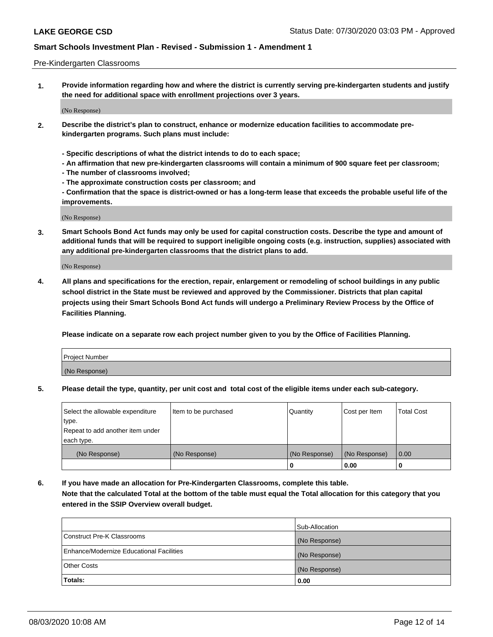### Pre-Kindergarten Classrooms

**1. Provide information regarding how and where the district is currently serving pre-kindergarten students and justify the need for additional space with enrollment projections over 3 years.**

(No Response)

- **2. Describe the district's plan to construct, enhance or modernize education facilities to accommodate prekindergarten programs. Such plans must include:**
	- **Specific descriptions of what the district intends to do to each space;**
	- **An affirmation that new pre-kindergarten classrooms will contain a minimum of 900 square feet per classroom;**
	- **The number of classrooms involved;**
	- **The approximate construction costs per classroom; and**
	- **Confirmation that the space is district-owned or has a long-term lease that exceeds the probable useful life of the improvements.**

(No Response)

**3. Smart Schools Bond Act funds may only be used for capital construction costs. Describe the type and amount of additional funds that will be required to support ineligible ongoing costs (e.g. instruction, supplies) associated with any additional pre-kindergarten classrooms that the district plans to add.**

(No Response)

**4. All plans and specifications for the erection, repair, enlargement or remodeling of school buildings in any public school district in the State must be reviewed and approved by the Commissioner. Districts that plan capital projects using their Smart Schools Bond Act funds will undergo a Preliminary Review Process by the Office of Facilities Planning.**

**Please indicate on a separate row each project number given to you by the Office of Facilities Planning.**

| Project Number |  |
|----------------|--|
| (No Response)  |  |
|                |  |

**5. Please detail the type, quantity, per unit cost and total cost of the eligible items under each sub-category.**

| Select the allowable expenditure | Item to be purchased | Quantity      | Cost per Item | <b>Total Cost</b> |
|----------------------------------|----------------------|---------------|---------------|-------------------|
| type.                            |                      |               |               |                   |
| Repeat to add another item under |                      |               |               |                   |
| each type.                       |                      |               |               |                   |
| (No Response)                    | (No Response)        | (No Response) | (No Response) | 0.00              |
|                                  |                      | U             | 0.00          |                   |

**6. If you have made an allocation for Pre-Kindergarten Classrooms, complete this table. Note that the calculated Total at the bottom of the table must equal the Total allocation for this category that you entered in the SSIP Overview overall budget.**

|                                          | Sub-Allocation |
|------------------------------------------|----------------|
| Construct Pre-K Classrooms               | (No Response)  |
| Enhance/Modernize Educational Facilities | (No Response)  |
| <b>Other Costs</b>                       | (No Response)  |
| Totals:                                  | 0.00           |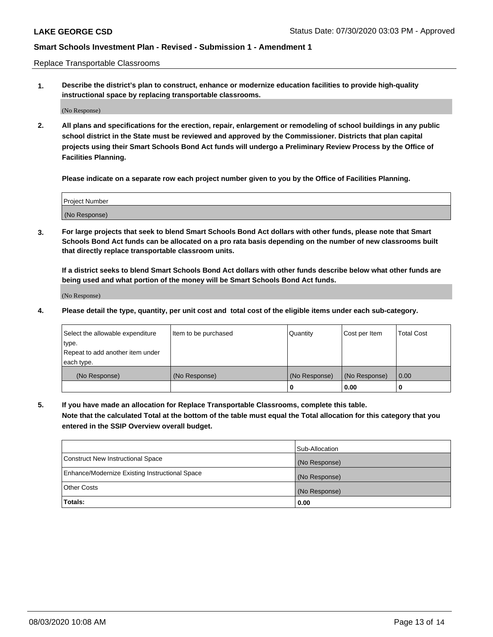Replace Transportable Classrooms

**1. Describe the district's plan to construct, enhance or modernize education facilities to provide high-quality instructional space by replacing transportable classrooms.**

(No Response)

**2. All plans and specifications for the erection, repair, enlargement or remodeling of school buildings in any public school district in the State must be reviewed and approved by the Commissioner. Districts that plan capital projects using their Smart Schools Bond Act funds will undergo a Preliminary Review Process by the Office of Facilities Planning.**

**Please indicate on a separate row each project number given to you by the Office of Facilities Planning.**

| Project Number |  |
|----------------|--|
|                |  |
|                |  |
|                |  |
|                |  |
| (No Response)  |  |
|                |  |
|                |  |
|                |  |

**3. For large projects that seek to blend Smart Schools Bond Act dollars with other funds, please note that Smart Schools Bond Act funds can be allocated on a pro rata basis depending on the number of new classrooms built that directly replace transportable classroom units.**

**If a district seeks to blend Smart Schools Bond Act dollars with other funds describe below what other funds are being used and what portion of the money will be Smart Schools Bond Act funds.**

(No Response)

**4. Please detail the type, quantity, per unit cost and total cost of the eligible items under each sub-category.**

| Select the allowable expenditure | Item to be purchased | Quantity      | Cost per Item | Total Cost |
|----------------------------------|----------------------|---------------|---------------|------------|
| ∣type.                           |                      |               |               |            |
| Repeat to add another item under |                      |               |               |            |
| each type.                       |                      |               |               |            |
| (No Response)                    | (No Response)        | (No Response) | (No Response) | 0.00       |
|                                  |                      | u             | 0.00          |            |

**5. If you have made an allocation for Replace Transportable Classrooms, complete this table. Note that the calculated Total at the bottom of the table must equal the Total allocation for this category that you entered in the SSIP Overview overall budget.**

|                                                | Sub-Allocation |
|------------------------------------------------|----------------|
| Construct New Instructional Space              | (No Response)  |
| Enhance/Modernize Existing Instructional Space | (No Response)  |
| Other Costs                                    | (No Response)  |
| Totals:                                        | 0.00           |